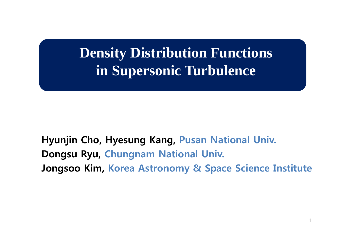# **Density Distribution Functions in Supersonic Turbulence**

**Hyunjin Cho, Hyesung Kang, Pusan National Univ. Dongsu Ryu, Chungnam National Univ. Jongsoo Kim, Korea Astronomy & Space Science Institute**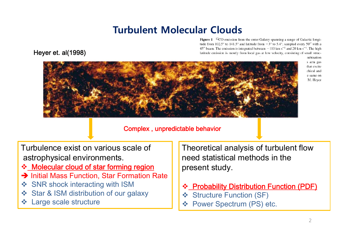# **Turbulent Molecular Clouds**

**Figure 1** <sup>12</sup>CO emission from the outer Galaxy spanning a range of Galactic longitude from 102.5° to 141.5° and latitude from  $-3^{\circ}$  to 5.4°, sampled every 50" with a 45" beam. The emission is integrated between  $-110$  km s<sup>-1</sup> and 20 km s<sup>-1</sup>. The high latitude emission is mostly from local gas at low velocity, consisting of small struc-





mbination s arm gas that excite chical and e same on M. Hever

### Complex , unpredictable behavior

Turbulence exist on various scale ofastrophysical environments.

- **❖ Molecular cloud of star forming region**
- **→ Initial Mass Function, Star Formation Rate**
- $\frac{1}{2}$ SNR shock interacting with ISM
- $\frac{1}{2}$ Star & ISM distribution of our galaxy
- Large scale structure

Theoretical analysis of turbulent flow need statistical methods in the present study.

- $\frac{1}{2}$ **Probability Distribution Function (PDF)**
- $\frac{1}{2}$ Structure Function (SF)
- Power Spectrum (PS) etc.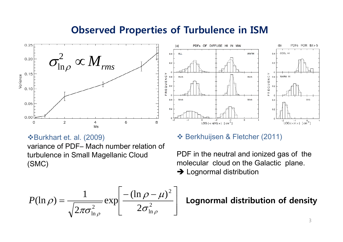### **Observed Properties of Turbulence in ISM**





### Burkhart et. al. (2009)

variance of PDF– Mach number relation of turbulence in Small Magellanic Cloud (SMC)

### $\div$  **Berkhuijsen & Fletcher (2011)**

PDF in the neutral and ionized gas of the molecular cloud on the Galactic plane.  $\rightarrow$  Lognormal distribution

$$
P(\ln \rho) = \frac{1}{\sqrt{2\pi \sigma_{\ln \rho}^2}} \exp \left[ \frac{-(\ln \rho - \mu)^2}{2\sigma_{\ln \rho}^2} \right]
$$

### **Lognormal distribution of density**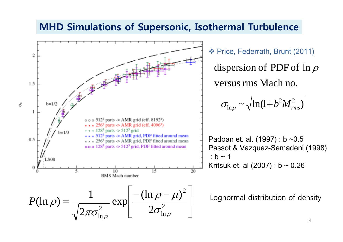### **MHD Simulations of Supersonic, Isothermal Turbulence**

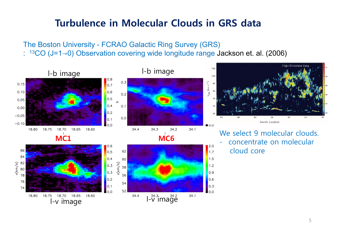# **Turbulence in Molecular Clouds in GRS data**

The Boston University - FCRAO Galactic Ring Survey (GRS)

:13CO (J=1→0) Observation covering wide longitude range Jackson et. al. (2006)

![](_page_4_Figure_3.jpeg)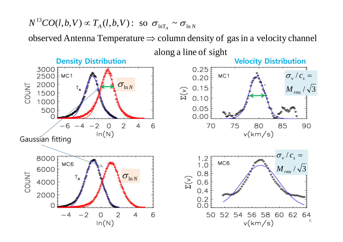#### $(l, b, V) \varpropto T_{_{A}}(l, b, V)$ : so  $\sigma_{_{\mathrm{InT}}}$  $\sim$  O<sub>ln</sub>  $N^{13}CO(l,b,V) \propto T_A(l,b,V):$  so  $\sigma_{\ln T_A} \sim \sigma_{\ln N_A}$

observed Antenna Temperature  $\Rightarrow$  column density of gas in a velocity channel

![](_page_5_Figure_2.jpeg)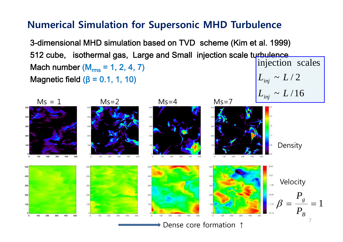### **Numerical Simulation for Supersonic MHD Turbulence**

3-dimensional MHD simulation based on TVD scheme (Kim et al. 1999) 512 cube, isothermal gas, Large and Small injection scale turbulence Mach number (M<sub>rms</sub> = 1, 2, 4, 7) Magnetic field  $(\beta = 0.1, 1, 10)$  $L_{_{inj}} \thicksim L \thicksim 2$ injection scales

![](_page_6_Figure_2.jpeg)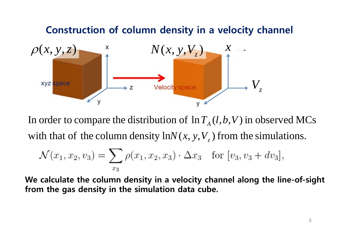### **Construction of column density in a velocity channel**  $\rho$  $(x, y, z)$  $N(x, y, V_z)$ *x* **XVZ** space  $\boldsymbol{V}_{_{\mathcal{Z}}}$ Velocity space  $\rightarrow$  Z y

with that of the column density  $ln N(x, y, V_z)$  from the simulations. In order to compare the distribution of  $\ln T_A(l,b,V)$  in observed MCs

$$
\mathcal{N}(x_1, x_2, v_3) = \sum_{x_3} \rho(x_1, x_2, x_3) \cdot \Delta x_3 \text{ for } [v_3, v_3 + dv_3],
$$

**We calculate the column density in a velocity channel along the line-of-sight from the gas density in the simulation data cube.**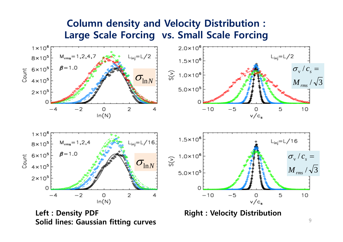## **Column density and Velocity Distribution : Large Scale Forcing vs. Small Scale Forcing**

![](_page_8_Figure_1.jpeg)

**Solid lines: Gaussian fitting curves**

9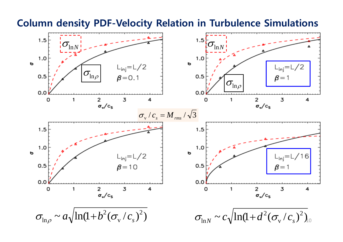![](_page_9_Figure_0.jpeg)

### **Column density PDF-Velocity Relation in Turbulence Simulations**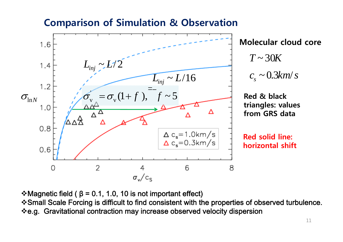### **Comparison of Simulation & Observation**

![](_page_10_Figure_1.jpeg)

 $c_s \sim 0.3$ km/s  $\sim 0.3 km/$ *T*~30*K*

> **Red solid line: horizontal shift**

 $\div$  Magnetic field (  $\beta$  = 0.1, 1.0, 10 is not important effect) Small Scale Forcing is difficult to find consistent with the properties of observed turbulence. e.g. Gravitational contraction may increase observed velocity dispersion